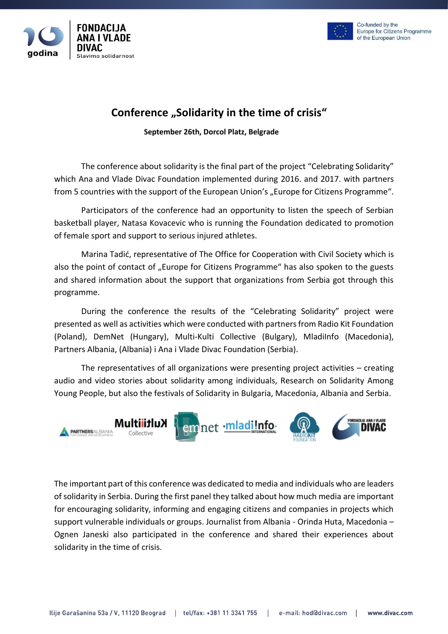



# **Conference "Solidarity in the time of crisis"**

 **September 26th, Dorcol Platz, Belgrade**

The conference about solidarity is the final part of the project "Celebrating Solidarity" which Ana and Vlade Divac Foundation implemented during 2016. and 2017. with partners from 5 countries with the support of the European Union's "Europe for Citizens Programme".

Participators of the conference had an opportunity to listen the speech of Serbian basketball player, Natasa Kovacevic who is running the Foundation dedicated to promotion of female sport and support to serious injured athletes.

Marina Tadić, representative of The Office for Cooperation with Civil Society which is also the point of contact of "Europe for Citizens Programme" has also spoken to the guests and shared information about the support that organizations from Serbia got through this programme.

During the conference the results of the "Celebrating Solidarity" project were presented as well as activities which were conducted with partners from Radio Kit Foundation (Poland), DemNet (Hungary), Multi-Kulti Collective (Bulgary), MladiInfo (Macedonia), Partners Albania, (Albania) i Ana i Vlade Divac Foundation (Serbia).

The representatives of all organizations were presenting project activities – creating audio and video stories about solidarity among individuals, Research on Solidarity Among Young People, but also the festivals of Solidarity in Bulgaria, Macedonia, Albania and Serbia.



The important part of this conference was dedicated to media and individuals who are leaders of solidarity in Serbia. During the first panel they talked about how much media are important for encouraging solidarity, informing and engaging citizens and companies in projects which support vulnerable individuals or groups. Journalist from Albania - Orinda Huta, Macedonia – Ognen Janeski also participated in the conference and shared their experiences about solidarity in the time of crisis.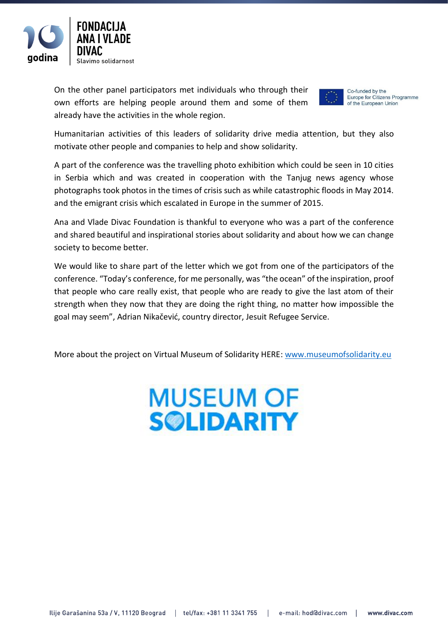

On the other panel participators met individuals who through their own efforts are helping people around them and some of them already have the activities in the whole region.



Co-funded by the Europe for Citizens Programme of the European Union

Humanitarian activities of this leaders of solidarity drive media attention, but they also motivate other people and companies to help and show solidarity.

A part of the conference was the travelling photo exhibition which could be seen in 10 cities in Serbia which and was created in cooperation with the Tanjug news agency whose photographs took photos in the times of crisis such as while catastrophic floods in May 2014. and the emigrant crisis which escalated in Europe in the summer of 2015.

Ana and Vlade Divac Foundation is thankful to everyone who was a part of the conference and shared beautiful and inspirational stories about solidarity and about how we can change society to become better.

We would like to share part of the letter which we got from one of the participators of the conference. "Today's conference, for me personally, was "the ocean" of the inspiration, proof that people who care really exist, that people who are ready to give the last atom of their strength when they now that they are doing the right thing, no matter how impossible the goal may seem", Adrian Nikačević, country director, Jesuit Refugee Service.

More about the project on Virtual Museum of Solidarity HERE: [www.museumofsolidarity.eu](http://www.museumofsolidarity.eu/)

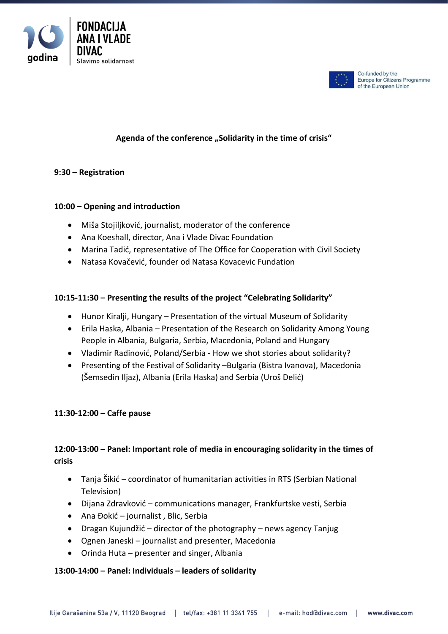



Co-funded by the Europe for Citizens Programme of the European Union

# Agenda of the conference "Solidarity in the time of crisis"

## **9:30 – Registration**

## **10:00 – Opening and introduction**

- Miša Stojiljković, journalist, moderator of the conference
- Ana Koeshall, director, Ana i Vlade Divac Foundation
- Marina Tadić, representative of The Office for Cooperation with Civil Society
- Natasa Kovačević, founder od Natasa Kovacevic Fundation

#### **10:15-11:30 – Presenting the results of the project "Celebrating Solidarity"**

- Hunor Kiralji, Hungary Presentation of the virtual Museum of Solidarity
- Erila Haska, Albania Presentation of the Research on Solidarity Among Young People in Albania, Bulgaria, Serbia, Macedonia, Poland and Hungary
- Vladimir Radinović, Poland/Serbia How we shot stories about solidarity?
- Presenting of the Festival of Solidarity –Bulgaria (Bistra Ivanova), Macedonia (Šemsedin Iljaz), Albania (Erila Haska) and Serbia (Uroš Delić)

#### **11:30-12:00 – Caffe pause**

# **12:00-13:00 – Panel: Important role of media in encouraging solidarity in the times of crisis**

- Tanja Šikić coordinator of humanitarian activities in RTS (Serbian National Television)
- Dijana Zdravković communications manager, Frankfurtske vesti, Serbia
- Ana Đokić journalist , Blic, Serbia
- Dragan Kujundžić director of the photography news agency Tanjug
- Ognen Janeski journalist and presenter, Macedonia
- Orinda Huta presenter and singer, Albania

#### **13:00-14:00 – Panel: Individuals – leaders of solidarity**